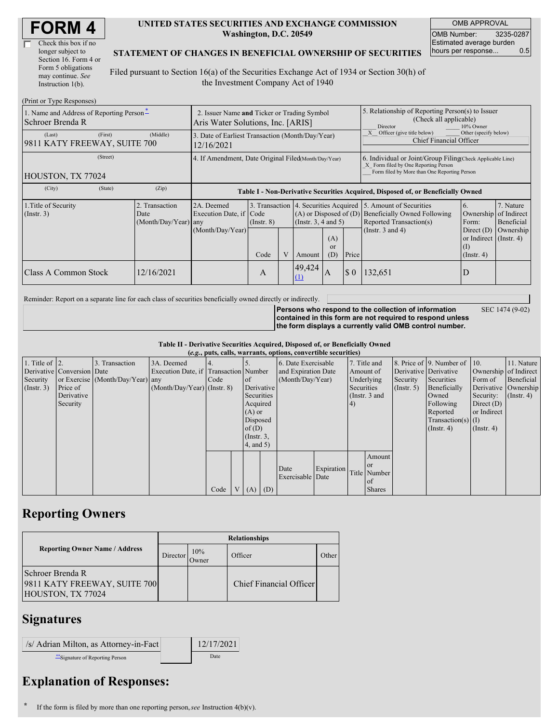| <b>FORM4</b> |
|--------------|
|--------------|

| Check this box if no  |
|-----------------------|
| longer subject to     |
| Section 16. Form 4 or |
| Form 5 obligations    |
| may continue. See     |
| Instruction 1(b).     |

#### **UNITED STATES SECURITIES AND EXCHANGE COMMISSION Washington, D.C. 20549**

OMB APPROVAL OMB Number: 3235-0287 Estimated average burden hours per response... 0.5

### **STATEMENT OF CHANGES IN BENEFICIAL OWNERSHIP OF SECURITIES**

Filed pursuant to Section 16(a) of the Securities Exchange Act of 1934 or Section 30(h) of the Investment Company Act of 1940

| (Print or Type Responses)                                    |                                                                                  |                                               |                                                                                  |                 |  |                                                                                                          |                                                                                                                                                    |          |                                                                                                                    |                                                                                                                    |                                      |  |
|--------------------------------------------------------------|----------------------------------------------------------------------------------|-----------------------------------------------|----------------------------------------------------------------------------------|-----------------|--|----------------------------------------------------------------------------------------------------------|----------------------------------------------------------------------------------------------------------------------------------------------------|----------|--------------------------------------------------------------------------------------------------------------------|--------------------------------------------------------------------------------------------------------------------|--------------------------------------|--|
| 1. Name and Address of Reporting Person-<br>Schroer Brenda R | 2. Issuer Name and Ticker or Trading Symbol<br>Aris Water Solutions, Inc. [ARIS] |                                               |                                                                                  |                 |  |                                                                                                          | 5. Relationship of Reporting Person(s) to Issuer<br>(Check all applicable)<br>Director<br>10% Owner                                                |          |                                                                                                                    |                                                                                                                    |                                      |  |
| (Last)<br>9811 KATY FREEWAY, SUITE 700                       | (First)                                                                          | (Middle)                                      | 3. Date of Earliest Transaction (Month/Day/Year)<br>12/16/2021                   |                 |  |                                                                                                          |                                                                                                                                                    |          | Other (specify below)<br>Officer (give title below)<br><b>Chief Financial Officer</b>                              |                                                                                                                    |                                      |  |
| HOUSTON, TX 77024                                            | 4. If Amendment, Date Original Filed(Month/Day/Year)                             |                                               |                                                                                  |                 |  |                                                                                                          | 6. Individual or Joint/Group Filing(Check Applicable Line)<br>X Form filed by One Reporting Person<br>Form filed by More than One Reporting Person |          |                                                                                                                    |                                                                                                                    |                                      |  |
| (City)                                                       | (State)                                                                          | (Zip)                                         | Table I - Non-Derivative Securities Acquired, Disposed of, or Beneficially Owned |                 |  |                                                                                                          |                                                                                                                                                    |          |                                                                                                                    |                                                                                                                    |                                      |  |
| 1. Title of Security<br>$($ Instr. 3 $)$                     |                                                                                  | Transaction<br>Date<br>$(Month/Day/Year)$ any | 2A. Deemed<br>Execution Date, if Code<br>(Month/Day/Year)                        | $($ Instr. $8)$ |  | 3. Transaction 4. Securities Acquired<br>$(A)$ or Disposed of $(D)$<br>(Insert. 3, 4 and 5)<br>(A)<br>or |                                                                                                                                                    |          | 5. Amount of Securities<br><b>Beneficially Owned Following</b><br>Reported Transaction(s)<br>(Instr. $3$ and $4$ ) | 6.<br>Ownership of Indirect<br>Form:<br>Direct $(D)$<br>or Indirect $($ Instr. 4 $)$<br>$\left( \mathrm{I}\right)$ | 7. Nature<br>Beneficial<br>Ownership |  |
|                                                              |                                                                                  |                                               |                                                                                  | Code            |  | Amount                                                                                                   | (D)                                                                                                                                                | Price    |                                                                                                                    | $($ Instr. 4 $)$                                                                                                   |                                      |  |
| Class A Common Stock                                         |                                                                                  | 12/16/2021                                    |                                                                                  | A               |  | 49,424<br>(1)                                                                                            | IA                                                                                                                                                 | $\Omega$ | 132,651                                                                                                            |                                                                                                                    |                                      |  |

Reminder: Report on a separate line for each class of securities beneficially owned directly or indirectly.

SEC 1474 (9-02)

**Persons who respond to the collection of information contained in this form are not required to respond unless the form displays a currently valid OMB control number.**

**Table II - Derivative Securities Acquired, Disposed of, or Beneficially Owned**

| (e.g., puts, calls, warrants, options, convertible securities) |                            |                                  |                                       |      |  |                 |  |                          |            |                 |               |               |                              |                       |                      |
|----------------------------------------------------------------|----------------------------|----------------------------------|---------------------------------------|------|--|-----------------|--|--------------------------|------------|-----------------|---------------|---------------|------------------------------|-----------------------|----------------------|
| 1. Title of $\vert$ 2.                                         |                            | 3. Transaction                   | 3A. Deemed                            |      |  |                 |  | 6. Date Exercisable      |            |                 | 7. Title and  |               | 8. Price of 9. Number of 10. |                       | 11. Nature           |
|                                                                | Derivative Conversion Date |                                  | Execution Date, if Transaction Number |      |  |                 |  | and Expiration Date      |            | Amount of       |               |               | Derivative Derivative        | Ownership of Indirect |                      |
| Security                                                       |                            | or Exercise (Month/Day/Year) any |                                       | Code |  | of              |  | (Month/Day/Year)         |            | Underlying      |               | Security      | Securities                   | Form of               | Beneficial           |
| $($ Instr. 3 $)$                                               | Price of                   |                                  | $(Month/Day/Year)$ (Instr. 8)         |      |  | Derivative      |  |                          |            | Securities      |               | $($ Instr. 5) | Beneficially                 |                       | Derivative Ownership |
|                                                                | Derivative                 |                                  |                                       |      |  | Securities      |  |                          |            | (Instr. $3$ and |               |               | Owned                        | Security:             | $($ Instr. 4)        |
|                                                                | Security                   |                                  |                                       |      |  | Acquired        |  |                          |            | 4)              |               |               | Following                    | Direct $(D)$          |                      |
|                                                                |                            |                                  |                                       |      |  | $(A)$ or        |  |                          |            |                 |               |               | Reported                     | or Indirect           |                      |
|                                                                |                            |                                  |                                       |      |  | Disposed        |  |                          |            |                 |               |               | $Transaction(s)$ (I)         |                       |                      |
|                                                                |                            |                                  |                                       |      |  | of $(D)$        |  |                          |            |                 |               |               | $($ Instr. 4)                | $($ Instr. 4 $)$      |                      |
|                                                                |                            |                                  |                                       |      |  | $($ Instr. $3,$ |  |                          |            |                 |               |               |                              |                       |                      |
|                                                                |                            |                                  |                                       |      |  | $4$ , and $5)$  |  |                          |            |                 |               |               |                              |                       |                      |
|                                                                |                            |                                  |                                       |      |  |                 |  |                          |            |                 | Amount        |               |                              |                       |                      |
|                                                                |                            |                                  |                                       |      |  |                 |  |                          | Expiration |                 | <b>or</b>     |               |                              |                       |                      |
|                                                                |                            |                                  |                                       |      |  |                 |  | Date<br>Exercisable Date |            |                 | Title Number  |               |                              |                       |                      |
|                                                                |                            |                                  |                                       |      |  |                 |  |                          |            |                 | <sub>of</sub> |               |                              |                       |                      |
|                                                                |                            |                                  |                                       | Code |  | $V(A)$ (D)      |  |                          |            |                 | <b>Shares</b> |               |                              |                       |                      |

# **Reporting Owners**

|                                                                       | <b>Relationships</b> |              |                         |       |  |  |  |  |
|-----------------------------------------------------------------------|----------------------|--------------|-------------------------|-------|--|--|--|--|
| <b>Reporting Owner Name / Address</b>                                 | Director             | 10%<br>Owner | Officer                 | Other |  |  |  |  |
| Schroer Brenda R<br>9811 KATY FREEWAY, SUITE 700<br>HOUSTON, TX 77024 |                      |              | Chief Financial Officer |       |  |  |  |  |

## **Signatures**

| /s/ Adrian Milton, as Attorney-in-Fact | 12/17/2021 |
|----------------------------------------|------------|
| ** Signature of Reporting Person       | Date       |

# **Explanation of Responses:**

**\*** If the form is filed by more than one reporting person,*see* Instruction 4(b)(v).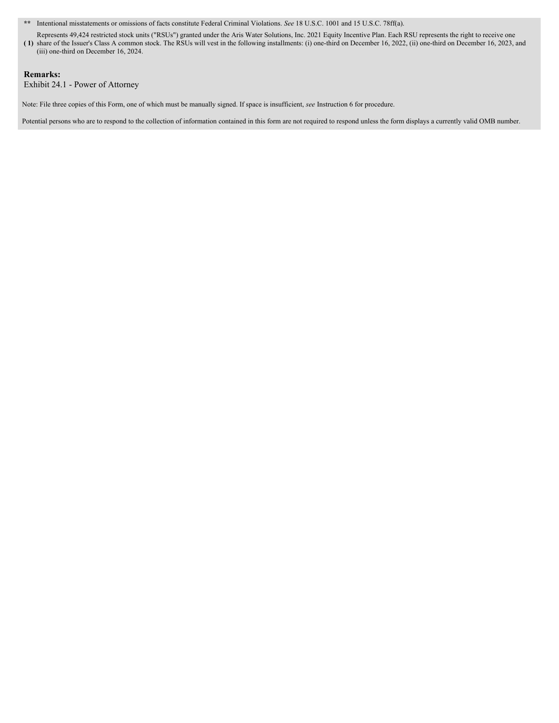**\*\*** Intentional misstatements or omissions of facts constitute Federal Criminal Violations. *See* 18 U.S.C. 1001 and 15 U.S.C. 78ff(a).

**( 1)** share of the Issuer's Class A common stock. The RSUs will vest in the following installments: (i) one-third on December 16, 2022, (ii) one-third on December 16, 2023, and Represents 49,424 restricted stock units ("RSUs") granted under the Aris Water Solutions, Inc. 2021 Equity Incentive Plan. Each RSU represents the right to receive one (iii) one-third on December 16, 2024.

### **Remarks:**

Exhibit 24.1 - Power of Attorney

Note: File three copies of this Form, one of which must be manually signed. If space is insufficient, *see* Instruction 6 for procedure.

Potential persons who are to respond to the collection of information contained in this form are not required to respond unless the form displays a currently valid OMB number.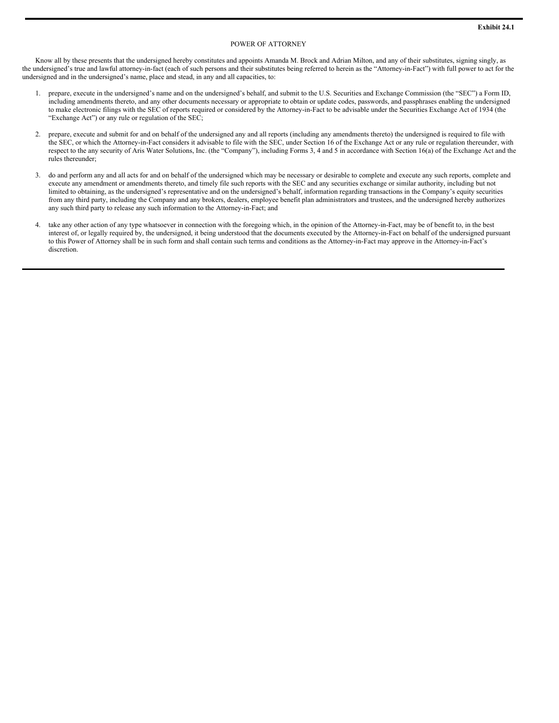#### POWER OF ATTORNEY

Know all by these presents that the undersigned hereby constitutes and appoints Amanda M. Brock and Adrian Milton, and any of their substitutes, signing singly, as the undersigned's true and lawful attorney-in-fact (each of such persons and their substitutes being referred to herein as the "Attorney-in-Fact") with full power to act for the undersigned and in the undersigned's name, place and stead, in any and all capacities, to:

- 1. prepare, execute in the undersigned's name and on the undersigned's behalf, and submit to the U.S. Securities and Exchange Commission (the "SEC") a Form ID, including amendments thereto, and any other documents necessary or appropriate to obtain or update codes, passwords, and passphrases enabling the undersigned to make electronic filings with the SEC of reports required or considered by the Attorney-in-Fact to be advisable under the Securities Exchange Act of 1934 (the "Exchange Act") or any rule or regulation of the SEC;
- 2. prepare, execute and submit for and on behalf of the undersigned any and all reports (including any amendments thereto) the undersigned is required to file with the SEC, or which the Attorney-in-Fact considers it advisable to file with the SEC, under Section 16 of the Exchange Act or any rule or regulation thereunder, with respect to the any security of Aris Water Solutions, Inc. (the "Company"), including Forms 3, 4 and 5 in accordance with Section 16(a) of the Exchange Act and the rules thereunder;
- 3. do and perform any and all acts for and on behalf of the undersigned which may be necessary or desirable to complete and execute any such reports, complete and execute any amendment or amendments thereto, and timely file such reports with the SEC and any securities exchange or similar authority, including but not limited to obtaining, as the undersigned's representative and on the undersigned's behalf, information regarding transactions in the Company's equity securities from any third party, including the Company and any brokers, dealers, employee benefit plan administrators and trustees, and the undersigned hereby authorizes any such third party to release any such information to the Attorney-in-Fact; and
- 4. take any other action of any type whatsoever in connection with the foregoing which, in the opinion of the Attorney-in-Fact, may be of benefit to, in the best interest of, or legally required by, the undersigned, it being understood that the documents executed by the Attorney-in-Fact on behalf of the undersigned pursuant to this Power of Attorney shall be in such form and shall contain such terms and conditions as the Attorney-in-Fact may approve in the Attorney-in-Fact's discretion.